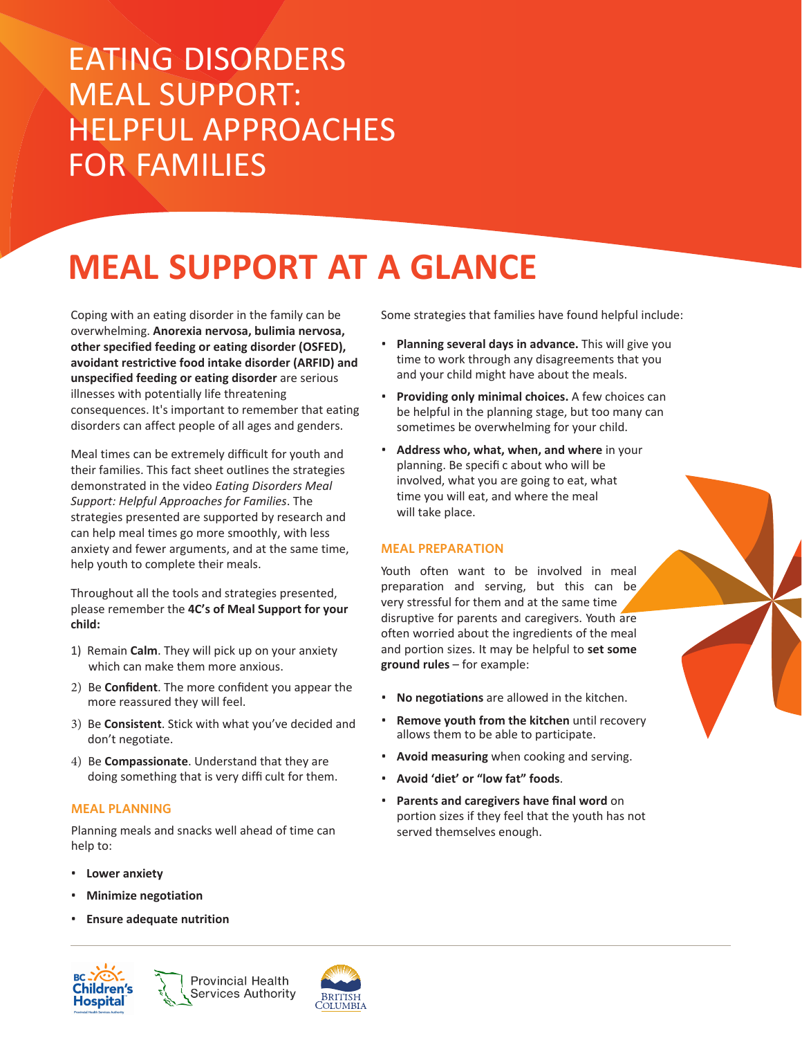## EATING DISORDERS MEAL SUPPORT: HELPFUL APPROACHES FOR FAMILIES

# **MEAL SUPPORT AT A GLANCE**

Coping with an eating disorder in the family can be overwhelming. **Anorexia nervosa, bulimia nervosa, other specified feeding or eating disorder (OSFED), avoidant restrictive food intake disorder (ARFID) and unspecified feeding or eating disorder** are serious illnesses with potentially life threatening consequences. It's important to remember that eating disorders can affect people of all ages and genders.

Meal times can be extremely difficult for youth and their families. This fact sheet outlines the strategies demonstrated in the video *Eating Disorders Meal Support: Helpful Approaches for Families*. The strategies presented are supported by research and can help meal times go more smoothly, with less anxiety and fewer arguments, and at the same time, help youth to complete their meals.

Throughout all the tools and strategies presented, please remember the **4C's of Meal Support for your child:**

- 1) Remain **Calm**. They will pick up on your anxiety which can make them more anxious.
- 2) Be **Confident**. The more confident you appear the more reassured they will feel.
- 3) Be **Consistent**. Stick with what you've decided and don't negotiate.
- 4) Be **Compassionate**. Understand that they are doing something that is very diffi cult for them.

#### **MEAL PLANNING**

Planning meals and snacks well ahead of time can help to:

- **Lower anxiety**
- **Minimize negotiation**
- **Ensure adequate nutrition**





Some strategies that families have found helpful include:

- **Planning several days in advance.** This will give you time to work through any disagreements that you and your child might have about the meals.
- **Providing only minimal choices.** A few choices can be helpful in the planning stage, but too many can sometimes be overwhelming for your child.
- **Address who, what, when, and where** in your planning. Be specifi c about who will be involved, what you are going to eat, what time you will eat, and where the meal will take place.

#### **MEAL PREPARATION**

Youth often want to be involved in meal preparation and serving, but this can be, very stressful for them and at the same time disruptive for parents and caregivers. Youth are often worried about the ingredients of the meal and portion sizes. It may be helpful to **set some ground rules** – for example:

- **No negotiations** are allowed in the kitchen.
- **Remove youth from the kitchen** until recovery allows them to be able to participate.
- **Avoid measuring** when cooking and serving.
- **Avoid 'diet' or "low fat" foods**.
- **Parents and caregivers have final word** on portion sizes if they feel that the youth has not served themselves enough.